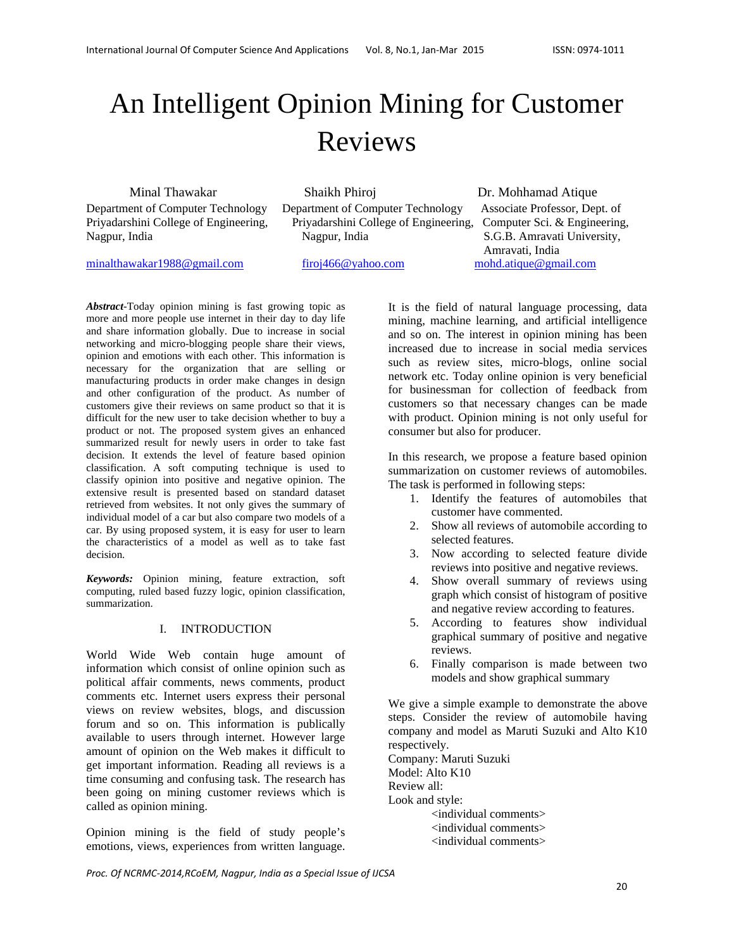# An Intelligent Opinion Mining for Customer Reviews

Minal Thawakar Shaikh Phiroj Dr. Mohhamad Atique Department of Computer Technology Department of Computer Technology Associate Professor, Dept. of Priyadarshini College of Engineering, Priyadarshini College of Engineering, Computer Sci. & Engineering, Nagpur, India Nagpur, India S.G.B. Amravati University,

Amravati, India

minalthawakar1988@gmail.com firoj466@yahoo.com mohd.atique@gmail.com

*Abstract-*Today opinion mining is fast growing topic as more and more people use internet in their day to day life and share information globally. Due to increase in social networking and micro-blogging people share their views, opinion and emotions with each other. This information is necessary for the organization that are selling or manufacturing products in order make changes in design and other configuration of the product. As number of customers give their reviews on same product so that it is difficult for the new user to take decision whether to buy a product or not. The proposed system gives an enhanced summarized result for newly users in order to take fast decision. It extends the level of feature based opinion classification. A soft computing technique is used to classify opinion into positive and negative opinion. The extensive result is presented based on standard dataset retrieved from websites. It not only gives the summary of individual model of a car but also compare two models of a car. By using proposed system, it is easy for user to learn the characteristics of a model as well as to take fast decision.

*Keywords:* Opinion mining, feature extraction, soft computing, ruled based fuzzy logic, opinion classification, summarization.

## I. INTRODUCTION

World Wide Web contain huge amount of information which consist of online opinion such as political affair comments, news comments, product comments etc. Internet users express their personal views on review websites, blogs, and discussion forum and so on. This information is publically available to users through internet. However large amount of opinion on the Web makes it difficult to get important information. Reading all reviews is a time consuming and confusing task. The research has been going on mining customer reviews which is called as opinion mining.

Opinion mining is the field of study people's emotions, views, experiences from written language.

It is the field of natural language processing, data mining, machine learning, and artificial intelligence and so on. The interest in opinion mining has been increased due to increase in social media services such as review sites, micro-blogs, online social network etc. Today online opinion is very beneficial for businessman for collection of feedback from customers so that necessary changes can be made with product. Opinion mining is not only useful for consumer but also for producer.

In this research, we propose a feature based opinion summarization on customer reviews of automobiles. The task is performed in following steps:

- 1. Identify the features of automobiles that customer have commented.
- 2. Show all reviews of automobile according to selected features.
- 3. Now according to selected feature divide reviews into positive and negative reviews.
- 4. Show overall summary of reviews using graph which consist of histogram of positive and negative review according to features.
- 5. According to features show individual graphical summary of positive and negative reviews.
- 6. Finally comparison is made between two models and show graphical summary

We give a simple example to demonstrate the above steps. Consider the review of automobile having company and model as Maruti Suzuki and Alto K10 respectively.

Company: Maruti Suzuki Model: Alto K10 Review all: Look and style:

 <individual comments> <individual comments> <individual comments>

*Proc. Of NCRMC‐2014,RCoEM, Nagpur, India as a Special Issue of IJCSA*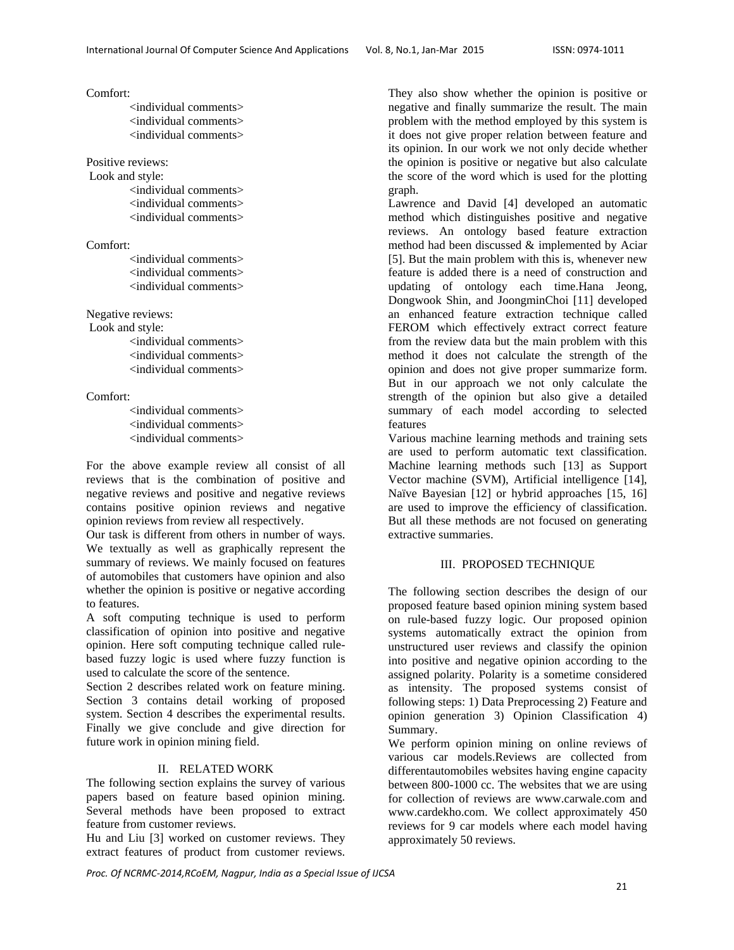Comfort:

<individual comments> <individual comments> <individual comments>

Positive reviews:

 Look and style: <individual comments> <individual comments> <individual comments>

Comfort:

<individual comments> <individual comments> <individual comments>

Negative reviews:

 Look and style: <individual comments> <individual comments> <individual comments>

Comfort:

<individual comments> <individual comments> <individual comments>

For the above example review all consist of all reviews that is the combination of positive and negative reviews and positive and negative reviews contains positive opinion reviews and negative opinion reviews from review all respectively.

Our task is different from others in number of ways. We textually as well as graphically represent the summary of reviews. We mainly focused on features of automobiles that customers have opinion and also whether the opinion is positive or negative according to features.

A soft computing technique is used to perform classification of opinion into positive and negative opinion. Here soft computing technique called rulebased fuzzy logic is used where fuzzy function is used to calculate the score of the sentence.

Section 2 describes related work on feature mining. Section 3 contains detail working of proposed system. Section 4 describes the experimental results. Finally we give conclude and give direction for future work in opinion mining field.

#### II. RELATED WORK

The following section explains the survey of various papers based on feature based opinion mining. Several methods have been proposed to extract feature from customer reviews.

Hu and Liu [3] worked on customer reviews. They extract features of product from customer reviews.

They also show whether the opinion is positive or negative and finally summarize the result. The main problem with the method employed by this system is it does not give proper relation between feature and its opinion. In our work we not only decide whether the opinion is positive or negative but also calculate the score of the word which is used for the plotting graph.

Lawrence and David [4] developed an automatic method which distinguishes positive and negative reviews. An ontology based feature extraction method had been discussed & implemented by Aciar [5]. But the main problem with this is, whenever new feature is added there is a need of construction and updating of ontology each time.Hana Jeong, Dongwook Shin, and JoongminChoi [11] developed an enhanced feature extraction technique called FEROM which effectively extract correct feature from the review data but the main problem with this method it does not calculate the strength of the opinion and does not give proper summarize form. But in our approach we not only calculate the strength of the opinion but also give a detailed summary of each model according to selected features

Various machine learning methods and training sets are used to perform automatic text classification. Machine learning methods such [13] as Support Vector machine (SVM), Artificial intelligence [14], Naïve Bayesian [12] or hybrid approaches [15, 16] are used to improve the efficiency of classification. But all these methods are not focused on generating extractive summaries.

#### III. PROPOSED TECHNIQUE

The following section describes the design of our proposed feature based opinion mining system based on rule-based fuzzy logic. Our proposed opinion systems automatically extract the opinion from unstructured user reviews and classify the opinion into positive and negative opinion according to the assigned polarity. Polarity is a sometime considered as intensity. The proposed systems consist of following steps: 1) Data Preprocessing 2) Feature and opinion generation 3) Opinion Classification 4) Summary.

We perform opinion mining on online reviews of various car models.Reviews are collected from differentautomobiles websites having engine capacity between 800-1000 cc. The websites that we are using for collection of reviews are www.carwale.com and www.cardekho.com. We collect approximately 450 reviews for 9 car models where each model having approximately 50 reviews.

*Proc. Of NCRMC‐2014,RCoEM, Nagpur, India as a Special Issue of IJCSA*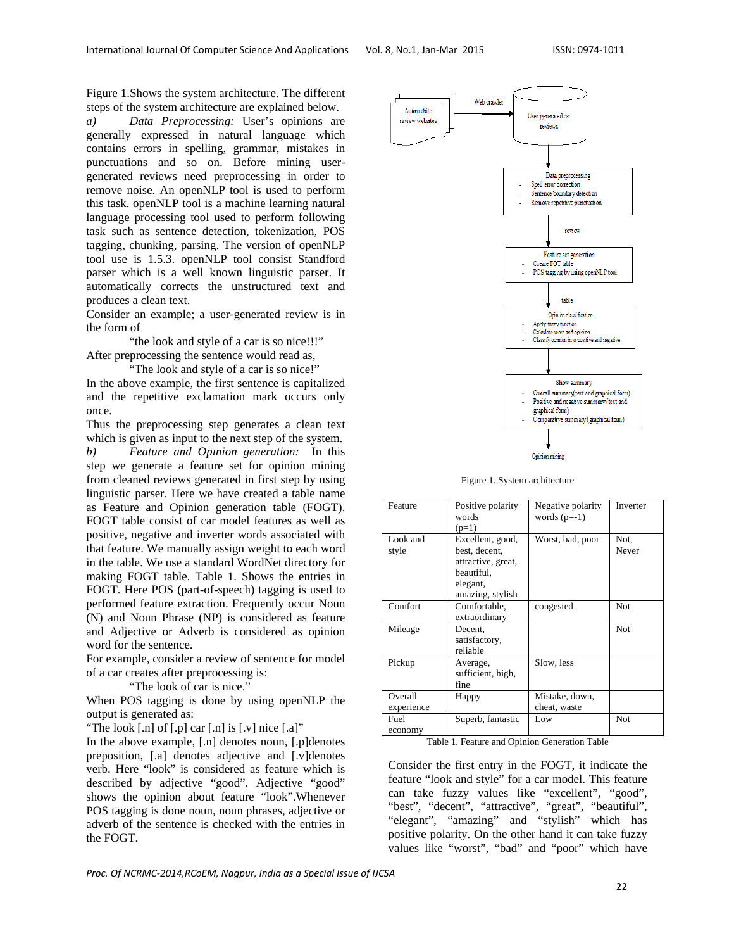Figure 1.Shows the system architecture. The different steps of the system architecture are explained below.

*a) Data Preprocessing:* User's opinions are generally expressed in natural language which contains errors in spelling, grammar, mistakes in punctuations and so on. Before mining usergenerated reviews need preprocessing in order to remove noise. An openNLP tool is used to perform this task. openNLP tool is a machine learning natural language processing tool used to perform following task such as sentence detection, tokenization, POS tagging, chunking, parsing. The version of openNLP tool use is 1.5.3. openNLP tool consist Standford parser which is a well known linguistic parser. It automatically corrects the unstructured text and produces a clean text.

Consider an example; a user-generated review is in the form of

"the look and style of a car is so nice!!!" After preprocessing the sentence would read as,

 "The look and style of a car is so nice!" In the above example, the first sentence is capitalized and the repetitive exclamation mark occurs only once.

Thus the preprocessing step generates a clean text which is given as input to the next step of the system. *b) Feature and Opinion generation:* In this step we generate a feature set for opinion mining

from cleaned reviews generated in first step by using linguistic parser. Here we have created a table name as Feature and Opinion generation table (FOGT). FOGT table consist of car model features as well as positive, negative and inverter words associated with that feature. We manually assign weight to each word in the table. We use a standard WordNet directory for making FOGT table. Table 1. Shows the entries in FOGT. Here POS (part-of-speech) tagging is used to performed feature extraction. Frequently occur Noun (N) and Noun Phrase (NP) is considered as feature and Adjective or Adverb is considered as opinion word for the sentence.

For example, consider a review of sentence for model of a car creates after preprocessing is:

"The look of car is nice."

When POS tagging is done by using openNLP the output is generated as:

"The look  $\lceil \cdot n \rceil$  of  $\lceil \cdot p \rceil$  car  $\lceil \cdot n \rceil$  is  $\lceil \cdot v \rceil$  nice  $\lceil \cdot a \rceil$ "

In the above example, [.n] denotes noun, [.p]denotes preposition, [.a] denotes adjective and [.v]denotes verb. Here "look" is considered as feature which is described by adjective "good". Adjective "good" shows the opinion about feature "look".Whenever POS tagging is done noun, noun phrases, adjective or adverb of the sentence is checked with the entries in the FOGT.



Opinion mining

Figure 1. System architecture

| Feature               | Positive polarity<br>words<br>$(p=1)$                                                                 | Negative polarity<br>words $(p=-1)$ | Inverter      |
|-----------------------|-------------------------------------------------------------------------------------------------------|-------------------------------------|---------------|
| Look and<br>style     | Excellent, good,<br>best, decent,<br>attractive, great,<br>beautiful.<br>elegant,<br>amazing, stylish | Worst, bad, poor                    | Not,<br>Never |
| Comfort               | Comfortable,<br>extraordinary                                                                         | congested                           | <b>Not</b>    |
| Mileage               | Decent,<br>satisfactory,<br>reliable                                                                  |                                     | <b>Not</b>    |
| Pickup                | Average,<br>sufficient, high,<br>fine                                                                 | Slow, less                          |               |
| Overall<br>experience | Happy                                                                                                 | Mistake, down,<br>cheat, waste      |               |
| Fuel<br>economy       | Superb, fantastic                                                                                     | Low                                 | Not           |

Table 1. Feature and Opinion Generation Table

Consider the first entry in the FOGT, it indicate the feature "look and style" for a car model. This feature can take fuzzy values like "excellent", "good", "best", "decent", "attractive", "great", "beautiful", "elegant", "amazing" and "stylish" which has positive polarity. On the other hand it can take fuzzy values like "worst", "bad" and "poor" which have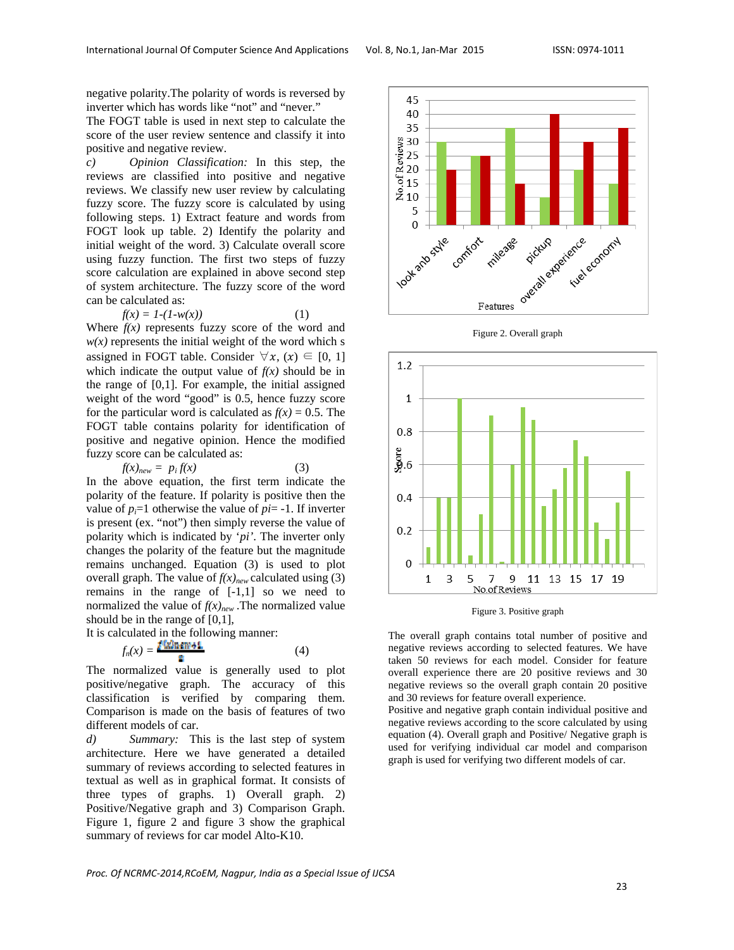negative polarity.The polarity of words is reversed by inverter which has words like "not" and "never."

The FOGT table is used in next step to calculate the score of the user review sentence and classify it into positive and negative review.

*c) Opinion Classification:* In this step, the reviews are classified into positive and negative reviews. We classify new user review by calculating fuzzy score. The fuzzy score is calculated by using following steps. 1) Extract feature and words from FOGT look up table. 2) Identify the polarity and initial weight of the word. 3) Calculate overall score using fuzzy function. The first two steps of fuzzy score calculation are explained in above second step of system architecture. The fuzzy score of the word can be calculated as:

$$
f(x) = 1 - (1 - w(x))\tag{1}
$$

Where  $f(x)$  represents fuzzy score of the word and  $w(x)$  represents the initial weight of the word which s assigned in FOGT table. Consider  $\forall x, (x) \in [0, 1]$ which indicate the output value of  $f(x)$  should be in the range of [0,1]. For example, the initial assigned weight of the word "good" is 0.5, hence fuzzy score for the particular word is calculated as  $f(x) = 0.5$ . The FOGT table contains polarity for identification of positive and negative opinion. Hence the modified fuzzy score can be calculated as:

$$
f(x)_{new} = p_i f(x) \tag{3}
$$

In the above equation, the first term indicate the polarity of the feature. If polarity is positive then the value of  $p_i=1$  otherwise the value of  $pi=1$ . If inverter is present (ex. "not") then simply reverse the value of polarity which is indicated by '*pi'*. The inverter only changes the polarity of the feature but the magnitude remains unchanged. Equation (3) is used to plot overall graph. The value of  $f(x)_{new}$  calculated using (3) remains in the range of [-1,1] so we need to normalized the value of  $f(x)_{new}$ . The normalized value should be in the range of [0,1],

It is calculated in the following manner:

$$
f_n(x) = \frac{1600 \text{ m/s}^2}{2} \tag{4}
$$

The normalized value is generally used to plot positive/negative graph. The accuracy of this classification is verified by comparing them. Comparison is made on the basis of features of two different models of car.

*d) Summary:* This is the last step of system architecture. Here we have generated a detailed summary of reviews according to selected features in textual as well as in graphical format. It consists of three types of graphs. 1) Overall graph. 2) Positive/Negative graph and 3) Comparison Graph. Figure 1, figure 2 and figure 3 show the graphical summary of reviews for car model Alto-K10.





Figure 2. Overall graph

Figure 3. Positive graph

The overall graph contains total number of positive and negative reviews according to selected features. We have taken 50 reviews for each model. Consider for feature overall experience there are 20 positive reviews and 30 negative reviews so the overall graph contain 20 positive and 30 reviews for feature overall experience.

Positive and negative graph contain individual positive and negative reviews according to the score calculated by using equation (4). Overall graph and Positive/ Negative graph is used for verifying individual car model and comparison graph is used for verifying two different models of car.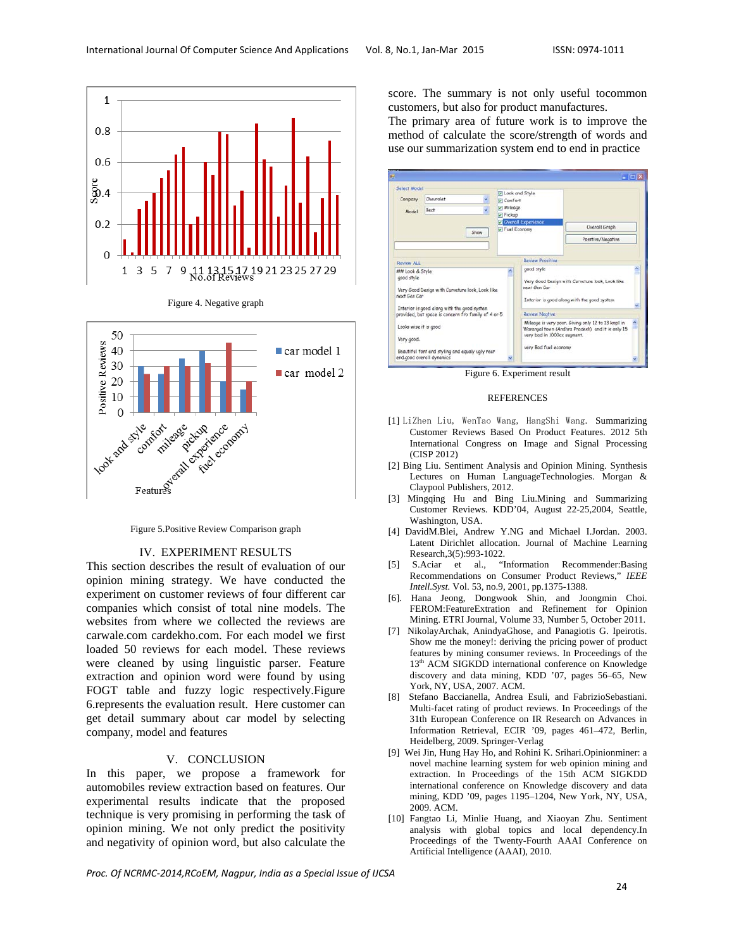







### IV. EXPERIMENT RESULTS

This section describes the result of evaluation of our opinion mining strategy. We have conducted the experiment on customer reviews of four different car companies which consist of total nine models. The websites from where we collected the reviews are carwale.com cardekho.com. For each model we first loaded 50 reviews for each model. These reviews were cleaned by using linguistic parser. Feature extraction and opinion word were found by using FOGT table and fuzzy logic respectively.Figure 6.represents the evaluation result. Here customer can get detail summary about car model by selecting company, model and features

#### V. CONCLUSION

In this paper, we propose a framework for automobiles review extraction based on features. Our experimental results indicate that the proposed technique is very promising in performing the task of opinion mining. We not only predict the positivity and negativity of opinion word, but also calculate the score. The summary is not only useful tocommon customers, but also for product manufactures.

The primary area of future work is to improve the method of calculate the score/strength of words and use our summarization system end to end in practice

| Select Model<br>Company<br>Model                                                                                                                | Chevrolet<br>Beat<br>Show | U Look and Style<br>Comfort<br>Mileage<br>Pickup<br>Fuel Economy | <b>D</b> Overall Experience                                                                                                   | Overall Graph<br>Posstive/Negative                                                                     |  |
|-------------------------------------------------------------------------------------------------------------------------------------------------|---------------------------|------------------------------------------------------------------|-------------------------------------------------------------------------------------------------------------------------------|--------------------------------------------------------------------------------------------------------|--|
| Review ALL                                                                                                                                      |                           |                                                                  | <b>Review Possitive</b>                                                                                                       |                                                                                                        |  |
| ## Look & Style<br>good style<br>Very Good Design with Curveture look. Look like<br>next Gen Car<br>Interior is good along with the good system |                           |                                                                  | good style.<br>Very Good Design with Curveture look, Look like<br>next Gen Car<br>Interior is good along with the good system |                                                                                                        |  |
| provided, but space is concern fro family of 4 or 5                                                                                             |                           |                                                                  | <b>Review Negtive</b>                                                                                                         |                                                                                                        |  |
| Looks wise it is good<br>Very good.                                                                                                             |                           |                                                                  | very bad in 1000cc segment.<br>very Bod fuel economy                                                                          | Mileage is very poor. Giving only 12 to 13 kmpl in<br>Warangal town (Andhra Pradesh) and it is only 15 |  |
| Beautiful font end styling and equaly ugly rear<br>end.good overall dynamics                                                                    |                           |                                                                  |                                                                                                                               |                                                                                                        |  |

#### REFERENCES

- [1] LiZhen Liu, WenTao Wang, HangShi Wang. Summarizing Customer Reviews Based On Product Features. 2012 5th International Congress on Image and Signal Processing (CISP 2012)
- [2] Bing Liu. Sentiment Analysis and Opinion Mining. Synthesis Lectures on Human LanguageTechnologies. Morgan & Claypool Publishers, 2012.
- [3] Mingqing Hu and Bing Liu.Mining and Summarizing Customer Reviews. KDD'04, August 22-25,2004, Seattle, Washington, USA.
- [4] DavidM.Blei, Andrew Y.NG and Michael I.Jordan. 2003. Latent Dirichlet allocation. Journal of Machine Learning Research,3(5):993-1022.
- [5] S.Aciar et al., "Information Recommender:Basing Recommendations on Consumer Product Reviews," *IEEE Intell.Syst.* Vol. 53, no.9, 2001, pp.1375-1388.
- [6]. Hana Jeong, Dongwook Shin, and Joongmin Choi. FEROM:FeatureExtration and Refinement for Opinion Mining. ETRI Journal, Volume 33, Number 5, October 2011.
- [7] NikolayArchak, AnindyaGhose, and Panagiotis G. Ipeirotis. Show me the money!: deriving the pricing power of product features by mining consumer reviews. In Proceedings of the 13<sup>th</sup> ACM SIGKDD international conference on Knowledge discovery and data mining, KDD '07, pages 56–65, New York, NY, USA, 2007. ACM.
- [8] Stefano Baccianella, Andrea Esuli, and FabrizioSebastiani. Multi-facet rating of product reviews. In Proceedings of the 31th European Conference on IR Research on Advances in Information Retrieval, ECIR '09, pages 461–472, Berlin, Heidelberg, 2009. Springer-Verlag
- [9] Wei Jin, Hung Hay Ho, and Rohini K. Srihari.Opinionminer: a novel machine learning system for web opinion mining and extraction. In Proceedings of the 15th ACM SIGKDD international conference on Knowledge discovery and data mining, KDD '09, pages 1195–1204, New York, NY, USA, 2009. ACM.
- [10] Fangtao Li, Minlie Huang, and Xiaoyan Zhu. Sentiment analysis with global topics and local dependency.In Proceedings of the Twenty-Fourth AAAI Conference on Artificial Intelligence (AAAI), 2010.

*Proc. Of NCRMC‐2014,RCoEM, Nagpur, India as a Special Issue of IJCSA*